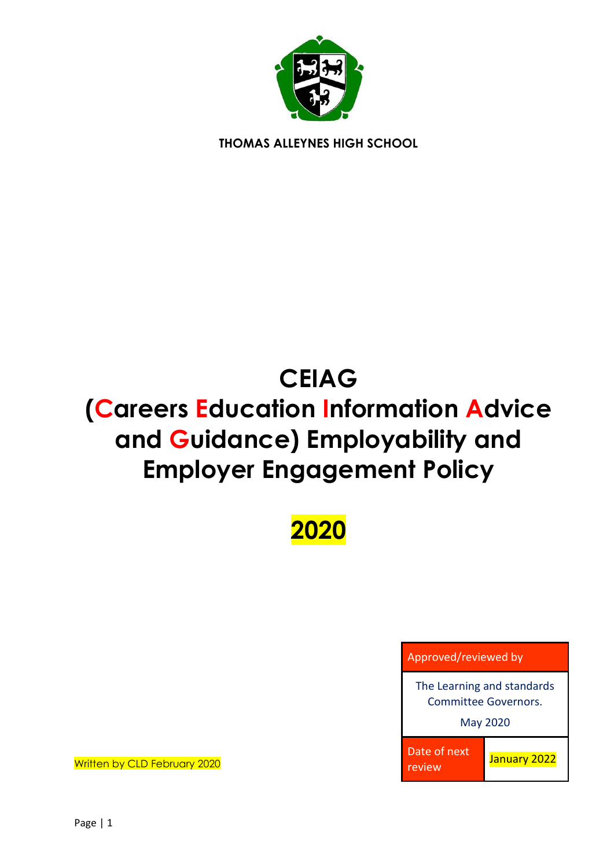

**THOMAS ALLEYNES HIGH SCHOOL**

# **CEIAG**

# **(Careers Education Information Advice and Guidance) Employability and Employer Engagement Policy**

**2020**



Written by CLD February 2020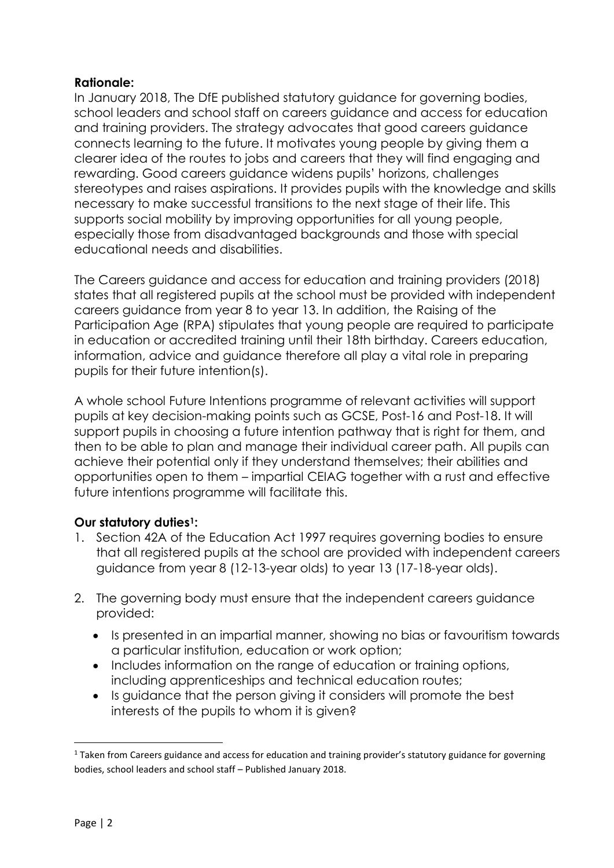#### **Rationale:**

In January 2018, The DfE published statutory guidance for governing bodies, school leaders and school staff on careers guidance and access for education and training providers. The strategy advocates that good careers guidance connects learning to the future. It motivates young people by giving them a clearer idea of the routes to jobs and careers that they will find engaging and rewarding. Good careers guidance widens pupils' horizons, challenges stereotypes and raises aspirations. It provides pupils with the knowledge and skills necessary to make successful transitions to the next stage of their life. This supports social mobility by improving opportunities for all young people, especially those from disadvantaged backgrounds and those with special educational needs and disabilities.

The Careers guidance and access for education and training providers (2018) states that all registered pupils at the school must be provided with independent careers guidance from year 8 to year 13. In addition, the Raising of the Participation Age (RPA) stipulates that young people are required to participate in education or accredited training until their 18th birthday. Careers education, information, advice and guidance therefore all play a vital role in preparing pupils for their future intention(s).

A whole school Future Intentions programme of relevant activities will support pupils at key decision-making points such as GCSE, Post-16 and Post-18. It will support pupils in choosing a future intention pathway that is right for them, and then to be able to plan and manage their individual career path. All pupils can achieve their potential only if they understand themselves; their abilities and opportunities open to them – impartial CEIAG together with a rust and effective future intentions programme will facilitate this.

#### **Our statutory duties1:**

- 1. Section 42A of the Education Act 1997 requires governing bodies to ensure that all registered pupils at the school are provided with independent careers guidance from year 8 (12-13-year olds) to year 13 (17-18-year olds).
- 2. The governing body must ensure that the independent careers guidance provided:
	- Is presented in an impartial manner, showing no bias or favouritism towards a particular institution, education or work option;
	- Includes information on the range of education or training options, including apprenticeships and technical education routes;
	- Is quidance that the person giving it considers will promote the best interests of the pupils to whom it is given?

1

<sup>&</sup>lt;sup>1</sup> Taken from Careers guidance and access for education and training provider's statutory guidance for governing bodies, school leaders and school staff – Published January 2018.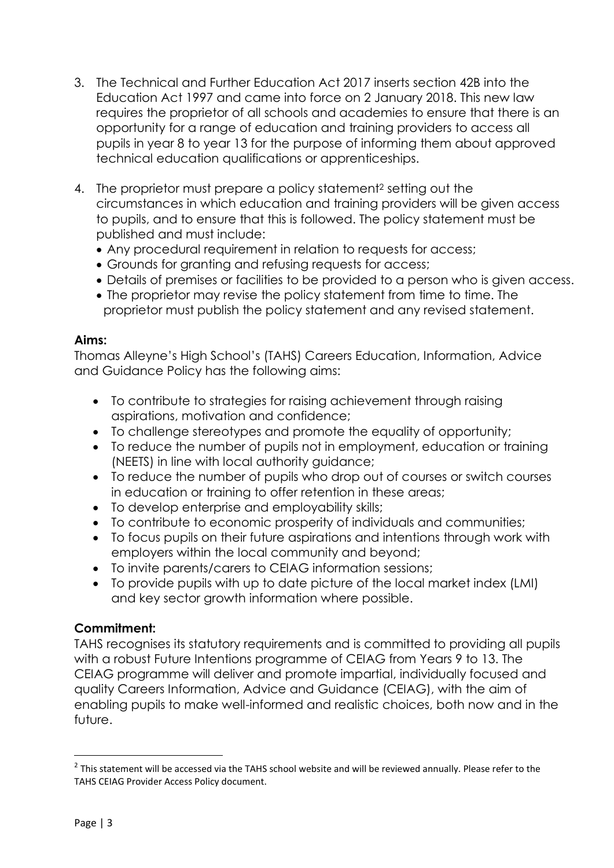- 3. The Technical and Further Education Act 2017 inserts section 42B into the Education Act 1997 and came into force on 2 January 2018. This new law requires the proprietor of all schools and academies to ensure that there is an opportunity for a range of education and training providers to access all pupils in year 8 to year 13 for the purpose of informing them about approved technical education qualifications or apprenticeships.
- 4. The proprietor must prepare a policy statement<sup>2</sup> setting out the circumstances in which education and training providers will be given access to pupils, and to ensure that this is followed. The policy statement must be published and must include:
	- Any procedural requirement in relation to requests for access;
	- Grounds for granting and refusing requests for access;
	- Details of premises or facilities to be provided to a person who is given access.
	- The proprietor may revise the policy statement from time to time. The proprietor must publish the policy statement and any revised statement.

#### **Aims:**

Thomas Alleyne's High School's (TAHS) Careers Education, Information, Advice and Guidance Policy has the following aims:

- To contribute to strategies for raising achievement through raising aspirations, motivation and confidence;
- To challenge stereotypes and promote the equality of opportunity;
- To reduce the number of pupils not in employment, education or training (NEETS) in line with local authority guidance;
- To reduce the number of pupils who drop out of courses or switch courses in education or training to offer retention in these areas;
- To develop enterprise and employability skills;
- To contribute to economic prosperity of individuals and communities;
- To focus pupils on their future aspirations and intentions through work with employers within the local community and beyond;
- To invite parents/carers to CEIAG information sessions;
- To provide pupils with up to date picture of the local market index (LMI) and key sector growth information where possible.

#### **Commitment:**

TAHS recognises its statutory requirements and is committed to providing all pupils with a robust Future Intentions programme of CEIAG from Years 9 to 13. The CEIAG programme will deliver and promote impartial, individually focused and quality Careers Information, Advice and Guidance (CEIAG), with the aim of enabling pupils to make well-informed and realistic choices, both now and in the future.

1

 $2$  This statement will be accessed via the TAHS school website and will be reviewed annually. Please refer to the TAHS CEIAG Provider Access Policy document.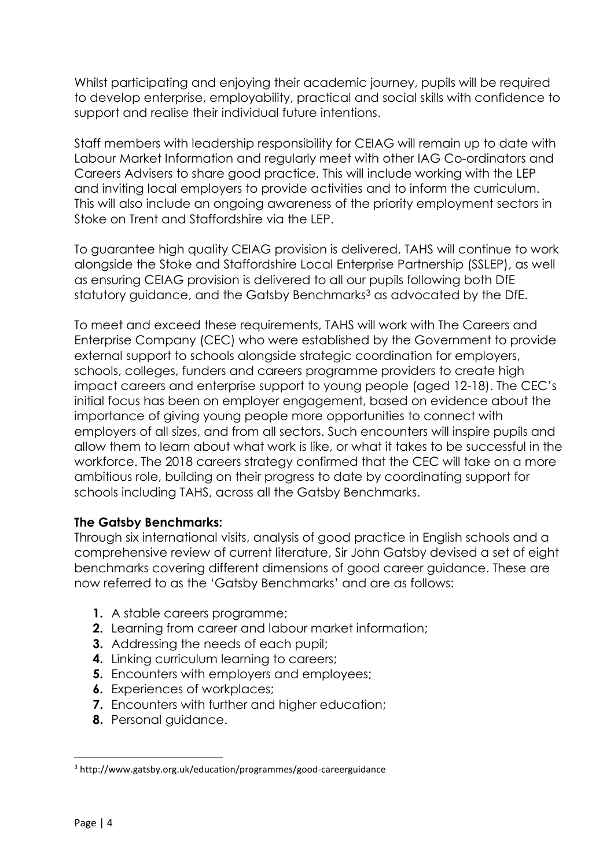Whilst participating and enjoying their academic journey, pupils will be required to develop enterprise, employability, practical and social skills with confidence to support and realise their individual future intentions.

Staff members with leadership responsibility for CEIAG will remain up to date with Labour Market Information and regularly meet with other IAG Co-ordinators and Careers Advisers to share good practice. This will include working with the LEP and inviting local employers to provide activities and to inform the curriculum. This will also include an ongoing awareness of the priority employment sectors in Stoke on Trent and Staffordshire via the LEP.

To guarantee high quality CEIAG provision is delivered, TAHS will continue to work alongside the Stoke and Staffordshire Local Enterprise Partnership (SSLEP), as well as ensuring CEIAG provision is delivered to all our pupils following both DfE statutory guidance, and the Gatsby Benchmarks<sup>3</sup> as advocated by the DfE.

To meet and exceed these requirements, TAHS will work with The Careers and Enterprise Company (CEC) who were established by the Government to provide external support to schools alongside strategic coordination for employers, schools, colleges, funders and careers programme providers to create high impact careers and enterprise support to young people (aged 12-18). The CEC's initial focus has been on employer engagement, based on evidence about the importance of giving young people more opportunities to connect with employers of all sizes, and from all sectors. Such encounters will inspire pupils and allow them to learn about what work is like, or what it takes to be successful in the workforce. The 2018 careers strategy confirmed that the CEC will take on a more ambitious role, building on their progress to date by coordinating support for schools including TAHS, across all the Gatsby Benchmarks.

#### **The Gatsby Benchmarks:**

Through six international visits, analysis of good practice in English schools and a comprehensive review of current literature, Sir John Gatsby devised a set of eight benchmarks covering different dimensions of good career guidance. These are now referred to as the 'Gatsby Benchmarks' and are as follows:

- **1.** A stable careers programme;
- **2.** Learning from career and labour market information;
- **3.** Addressing the needs of each pupil;
- **4.** Linking curriculum learning to careers;
- **5.** Encounters with employers and employees;
- **6.** Experiences of workplaces;
- **7.** Encounters with further and higher education:
- **8.** Personal guidance.

**.** 

<sup>3</sup> http://www.gatsby.org.uk/education/programmes/good-careerguidance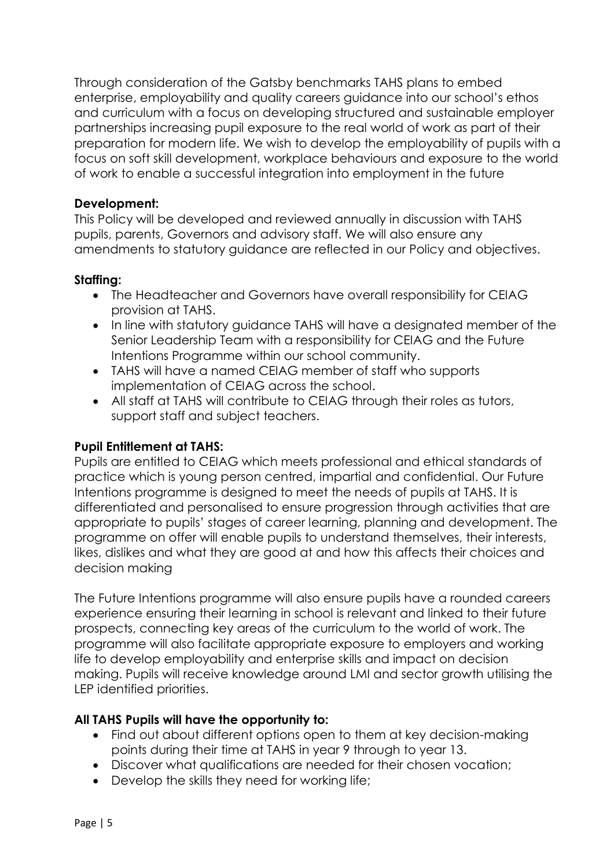Through consideration of the Gatsby benchmarks TAHS plans to embed enterprise, employability and quality careers guidance into our school's ethos and curriculum with a focus on developing structured and sustainable employer partnerships increasing pupil exposure to the real world of work as part of their preparation for modern life. We wish to develop the employability of pupils with a focus on soft skill development, workplace behaviours and exposure to the world of work to enable a successful integration into employment in the future

#### **Development:**

This Policy will be developed and reviewed annually in discussion with TAHS pupils, parents, Governors and advisory staff. We will also ensure any amendments to statutory guidance are reflected in our Policy and objectives.

## **Staffing:**

- The Headteacher and Governors have overall responsibility for CEIAG provision at TAHS.
- In line with statutory quidance TAHS will have a designated member of the Senior Leadership Team with a responsibility for CEIAG and the Future Intentions Programme within our school community.
- TAHS will have a named CEIAG member of staff who supports implementation of CEIAG across the school.
- All staff at TAHS will contribute to CEIAG through their roles as tutors, support staff and subject teachers.

# **Pupil Entitlement at TAHS:**

Pupils are entitled to CEIAG which meets professional and ethical standards of practice which is young person centred, impartial and confidential. Our Future Intentions programme is designed to meet the needs of pupils at TAHS. It is differentiated and personalised to ensure progression through activities that are appropriate to pupils' stages of career learning, planning and development. The programme on offer will enable pupils to understand themselves, their interests, likes, dislikes and what they are good at and how this affects their choices and decision making

The Future Intentions programme will also ensure pupils have a rounded careers experience ensuring their learning in school is relevant and linked to their future prospects, connecting key areas of the curriculum to the world of work. The programme will also facilitate appropriate exposure to employers and working life to develop employability and enterprise skills and impact on decision making. Pupils will receive knowledge around LMI and sector growth utilising the LEP identified priorities.

#### **All TAHS Pupils will have the opportunity to:**

- Find out about different options open to them at key decision-making points during their time at TAHS in year 9 through to year 13.
- Discover what qualifications are needed for their chosen vocation;
- Develop the skills they need for working life;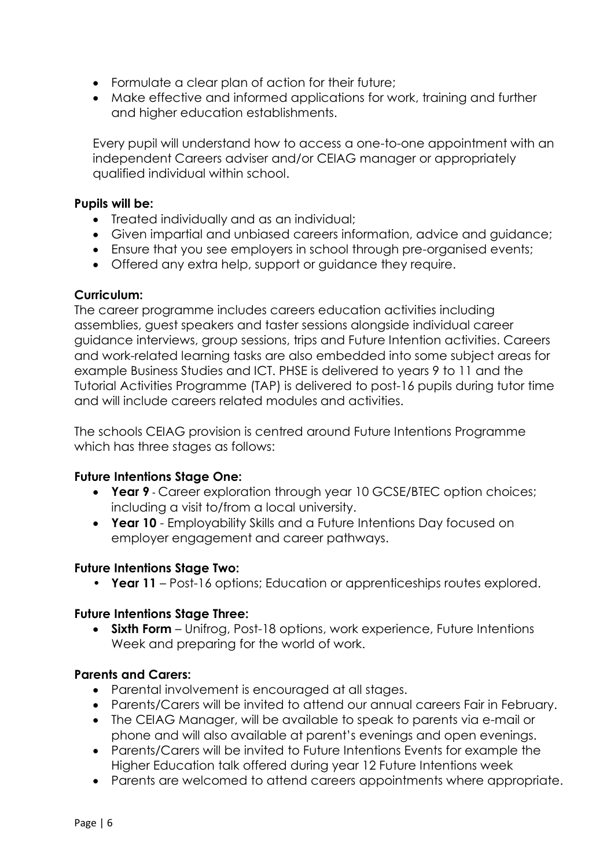- Formulate a clear plan of action for their future;
- Make effective and informed applications for work, training and further and higher education establishments.

Every pupil will understand how to access a one-to-one appointment with an independent Careers adviser and/or CEIAG manager or appropriately qualified individual within school.

#### **Pupils will be:**

- Treated individually and as an individual;
- Given impartial and unbiased careers information, advice and guidance;
- Ensure that you see employers in school through pre-organised events;
- Offered any extra help, support or guidance they require.

#### **Curriculum:**

The career programme includes careers education activities including assemblies, guest speakers and taster sessions alongside individual career guidance interviews, group sessions, trips and Future Intention activities. Careers and work-related learning tasks are also embedded into some subject areas for example Business Studies and ICT. PHSE is delivered to years 9 to 11 and the Tutorial Activities Programme (TAP) is delivered to post-16 pupils during tutor time and will include careers related modules and activities.

The schools CEIAG provision is centred around Future Intentions Programme which has three stages as follows:

#### **Future Intentions Stage One:**

- **Year 9** Career exploration through year 10 GCSE/BTEC option choices; including a visit to/from a local university.
- **Year 10** Employability Skills and a Future Intentions Day focused on employer engagement and career pathways.

#### **Future Intentions Stage Two:**

• **Year 11** – Post-16 options; Education or apprenticeships routes explored.

#### **Future Intentions Stage Three:**

**Sixth Form** – Unifrog, Post-18 options, work experience, Future Intentions Week and preparing for the world of work.

#### **Parents and Carers:**

- Parental involvement is encouraged at all stages.
- Parents/Carers will be invited to attend our annual careers Fair in February.
- The CEIAG Manager, will be available to speak to parents via e-mail or phone and will also available at parent's evenings and open evenings.
- Parents/Carers will be invited to Future Intentions Events for example the Higher Education talk offered during year 12 Future Intentions week
- Parents are welcomed to attend careers appointments where appropriate.